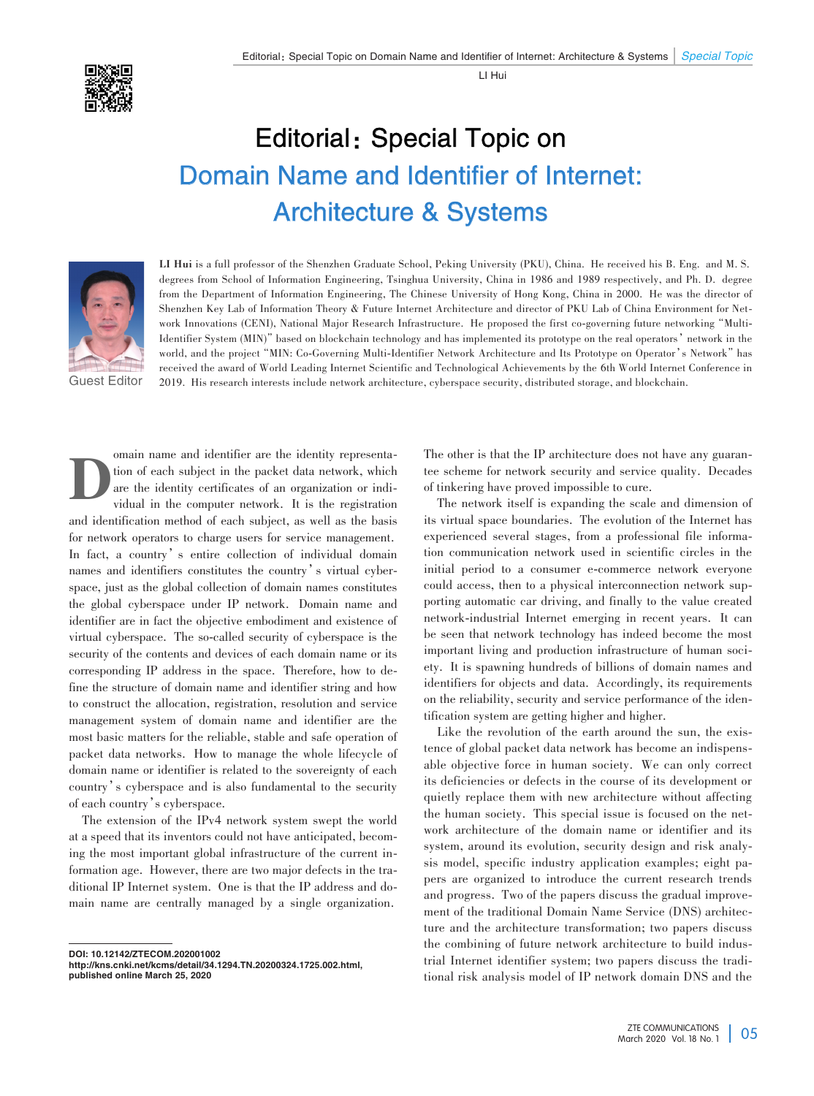LI Hui

## Editorial: Special Topic on Domain Name and Identifier of Internet: Architecture & Systems



**LI Hui** is a full professor of the Shenzhen Graduate School, Peking University (PKU), China. He received his B. Eng. and M. S. degrees from School of Information Engineering, Tsinghua University, China in 1986 and 1989 respectively, and Ph. D. degree from the Department of Information Engineering, The Chinese University of Hong Kong, China in 2000. He was the director of Shenzhen Key Lab of Information Theory & Future Internet Architecture and director of PKU Lab of China Environment for Network Innovations (CENI), National Major Research Infrastructure. He proposed the first co-governing future networking"Multi-Identifier System (MIN)"based on blockchain technology and has implemented its prototype on the real operators'network in the world, and the project "MIN: Co-Governing Multi-Identifier Network Architecture and Its Prototype on Operator's Network" has received the award of World Leading Internet Scientific and Technological Achievements by the 6th World Internet Conference in 2019. His research interests include network architecture, cyberspace security, distributed storage, and blockchain.

Guest Editor

Domain name and identifier are the identity representation of each subject in the packet data network, which are the identity certificates of an organization or individual in the computer network. It is the registration tion of each subject in the packet data network, which are the identity certificates of an organization or individual in the computer network. It is the registration and identification method of each subject, as well as the basis for network operators to charge users for service management. In fact, a country's entire collection of individual domain names and identifiers constitutes the country's virtual cyberspace, just as the global collection of domain names constitutes the global cyberspace under IP network. Domain name and identifier are in fact the objective embodiment and existence of virtual cyberspace. The so-called security of cyberspace is the security of the contents and devices of each domain name or its corresponding IP address in the space. Therefore, how to define the structure of domain name and identifier string and how to construct the allocation, registration, resolution and service management system of domain name and identifier are the most basic matters for the reliable, stable and safe operation of packet data networks. How to manage the whole lifecycle of domain name or identifier is related to the sovereignty of each country's cyberspace and is also fundamental to the security of each country's cyberspace.

The extension of the IPv4 network system swept the world at a speed that its inventors could not have anticipated, becom⁃ ing the most important global infrastructure of the current information age. However, there are two major defects in the traditional IP Internet system. One is that the IP address and domain name are centrally managed by a single organization.

DOI: 10.12142/ZTECOM.202001002

http://kns.cnki.net/kcms/detail/34.1294.TN.20200324.1725.002.html, published online March 25, 2020

The other is that the IP architecture does not have any guarantee scheme for network security and service quality. Decades of tinkering have proved impossible to cure.

The network itself is expanding the scale and dimension of its virtual space boundaries. The evolution of the Internet has experienced several stages, from a professional file information communication network used in scientific circles in the initial period to a consumer e-commerce network everyone could access, then to a physical interconnection network supporting automatic car driving, and finally to the value created network-industrial Internet emerging in recent years. It can be seen that network technology has indeed become the most important living and production infrastructure of human society. It is spawning hundreds of billions of domain names and identifiers for objects and data. Accordingly, its requirements on the reliability, security and service performance of the identification system are getting higher and higher.

Like the revolution of the earth around the sun, the existence of global packet data network has become an indispensable objective force in human society. We can only correct its deficiencies or defects in the course of its development or quietly replace them with new architecture without affecting the human society. This special issue is focused on the network architecture of the domain name or identifier and its system, around its evolution, security design and risk analysis model, specific industry application examples; eight papers are organized to introduce the current research trends and progress. Two of the papers discuss the gradual improvement of the traditional Domain Name Service (DNS) architecture and the architecture transformation; two papers discuss the combining of future network architecture to build industrial Internet identifier system; two papers discuss the traditional risk analysis model of IP network domain DNS and the